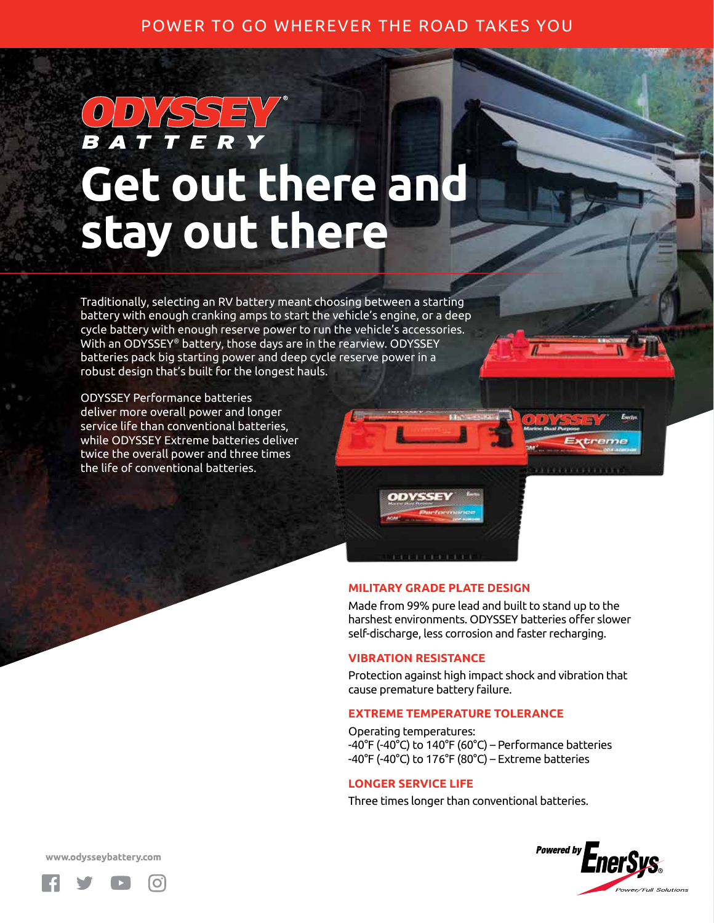## POWER TO GO WHEREVER THE ROAD TAKES YOU

# **Get out there and stay out there**

Traditionally, selecting an RV battery meant choosing between a starting battery with enough cranking amps to start the vehicle's engine, or a deep cycle battery with enough reserve power to run the vehicle's accessories. With an ODYSSEY® battery, those days are in the rearview. ODYSSEY batteries pack big starting power and deep cycle reserve power in a robust design that's built for the longest hauls.

ODYSSEY Performance batteries deliver more overall power and longer service life than conventional batteries, while ODYSSEY Extreme batteries deliver twice the overall power and three times the life of conventional batteries.



### **MILITARY GRADE PLATE DESIGN**

Made from 99% pure lead and built to stand up to the harshest environments. ODYSSEY batteries offer slower self-discharge, less corrosion and faster recharging.

### **VIBRATION RESISTANCE**

Protection against high impact shock and vibration that cause premature battery failure.

### **EXTREME TEMPERATURE TOLERANCE**

Operating temperatures: -40°F (-40°C) to 140°F (60°C) – Performance batteries -40°F (-40°C) to 176°F (80°C) – Extreme batteries

### **LONGER SERVICE LIFE**

Three times longer than conventional batteries.



www.odysseybattery.com